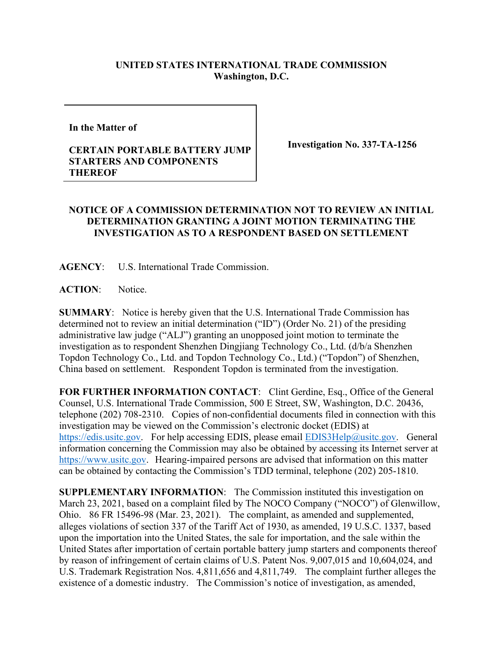## **UNITED STATES INTERNATIONAL TRADE COMMISSION Washington, D.C.**

**In the Matter of** 

## **CERTAIN PORTABLE BATTERY JUMP STARTERS AND COMPONENTS THEREOF**

**Investigation No. 337-TA-1256**

## **NOTICE OF A COMMISSION DETERMINATION NOT TO REVIEW AN INITIAL DETERMINATION GRANTING A JOINT MOTION TERMINATING THE INVESTIGATION AS TO A RESPONDENT BASED ON SETTLEMENT**

**AGENCY**: U.S. International Trade Commission.

**ACTION**: Notice.

**SUMMARY**: Notice is hereby given that the U.S. International Trade Commission has determined not to review an initial determination ("ID") (Order No. 21) of the presiding administrative law judge ("ALJ") granting an unopposed joint motion to terminate the investigation as to respondent Shenzhen Dingjiang Technology Co., Ltd. (d/b/a Shenzhen Topdon Technology Co., Ltd. and Topdon Technology Co., Ltd.) ("Topdon") of Shenzhen, China based on settlement. Respondent Topdon is terminated from the investigation.

**FOR FURTHER INFORMATION CONTACT**: Clint Gerdine, Esq., Office of the General Counsel, U.S. International Trade Commission, 500 E Street, SW, Washington, D.C. 20436, telephone (202) 708-2310. Copies of non-confidential documents filed in connection with this investigation may be viewed on the Commission's electronic docket (EDIS) at [https://edis.usitc.gov.](https://edis.usitc.gov/) For help accessing EDIS, please email [EDIS3Help@usitc.gov.](mailto:EDIS3Help@usitc.gov) General information concerning the Commission may also be obtained by accessing its Internet server at [https://www.usitc.gov.](https://www.usitc.gov/) Hearing-impaired persons are advised that information on this matter can be obtained by contacting the Commission's TDD terminal, telephone (202) 205-1810.

**SUPPLEMENTARY INFORMATION**: The Commission instituted this investigation on March 23, 2021, based on a complaint filed by The NOCO Company ("NOCO") of Glenwillow, Ohio. 86 FR 15496-98 (Mar. 23, 2021). The complaint, as amended and supplemented, alleges violations of section 337 of the Tariff Act of 1930, as amended, 19 U.S.C. 1337, based upon the importation into the United States, the sale for importation, and the sale within the United States after importation of certain portable battery jump starters and components thereof by reason of infringement of certain claims of U.S. Patent Nos. 9,007,015 and 10,604,024, and U.S. Trademark Registration Nos. 4,811,656 and 4,811,749.The complaint further alleges the existence of a domestic industry. The Commission's notice of investigation, as amended,